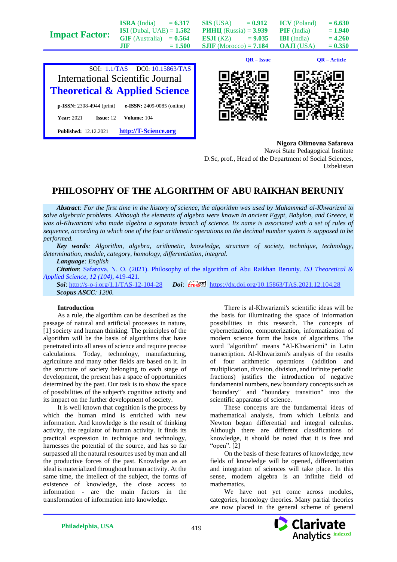| $C\cap I$ , 11/ $T\wedge C$ | $\overline{N}$ $\overline{N}$ $\overline{N}$ $\overline{N}$ $\overline{N}$ $\overline{N}$ $\overline{N}$ $\overline{N}$ $\overline{N}$ $\overline{N}$ $\overline{N}$ $\overline{N}$ $\overline{N}$ $\overline{N}$ $\overline{N}$ $\overline{N}$ $\overline{N}$ $\overline{N}$ $\overline{N}$ $\overline{N}$ $\overline{N}$ $\overline{N}$ $\overline{N}$ $\overline{N}$ $\overline{$ |           | $OR - Issue$                    |                     | QR – Article |
|-----------------------------|--------------------------------------------------------------------------------------------------------------------------------------------------------------------------------------------------------------------------------------------------------------------------------------------------------------------------------------------------------------------------------------|-----------|---------------------------------|---------------------|--------------|
| <b>Impact Factor:</b>       | .TIF                                                                                                                                                                                                                                                                                                                                                                                 | $= 1.500$ | $SIIF$ (Morocco) = 7.184        | <b>OAJI</b> (USA)   | $= 0.350$    |
|                             | <b>GIF</b> (Australia)                                                                                                                                                                                                                                                                                                                                                               | $= 0.564$ | <b>ESJI</b> (KZ)<br>$= 9.035$   | <b>IBI</b> (India)  | $= 4.260$    |
|                             | <b>ISI</b> (Dubai, UAE) = $1.582$                                                                                                                                                                                                                                                                                                                                                    |           | <b>PHHII</b> (Russia) = $3.939$ | <b>PIF</b> (India)  | $= 1.940$    |
|                             | <b>ISRA</b> (India)                                                                                                                                                                                                                                                                                                                                                                  | $= 6.317$ | <b>SIS</b> (USA)<br>$= 0.912$   | <b>ICV</b> (Poland) | $= 6.630$    |







**Nigora Olimovna Safarova** Navoi State Pedagogical Institute D.Sc, prof., Head of the Department of Social Sciences, Uzbekistan

## **PHILOSOPHY OF THE ALGORITHM OF ABU RAIKHAN BERUNIY**

*Abstract: For the first time in the history of science, the algorithm was used by Muhammad al-Khwarizmi to solve algebraic problems. Although the elements of algebra were known in ancient Egypt, Babylon, and Greece, it was al-Khwarizmi who made algebra a separate branch of science. Its name is associated with a set of rules of sequence, according to which one of the four arithmetic operations on the decimal number system is supposed to be performed.*

*Key words: Algorithm, algebra, arithmetic, knowledge, structure of society, technique, technology, determination, module, category, homology, differentiation, integral.*

*Language: English*

*Citation*: Safarova, N. O. (2021). Philosophy of the algorithm of Abu Raikhan Beruniy. *ISJ Theoretical & Applied Science, 12 (104),* 419-421.

**Soi**[: http://s-o-i.org/1.1/TAS-12-104-28](http://s-o-i.org/1.1/TAS-12-104-28) *Doi: cross*<sup>66</sup> <https://dx.doi.org/10.15863/TAS.2021.12.104.28> *Scopus ASCC: 1200.*

## **Introduction**

As a rule, the algorithm can be described as the passage of natural and artificial processes in nature, [1] society and human thinking. The principles of the algorithm will be the basis of algorithms that have penetrated into all areas of science and require precise calculations. Today, technology, manufacturing, agriculture and many other fields are based on it. In the structure of society belonging to each stage of development, the present has a space of opportunities determined by the past. Our task is to show the space of possibilities of the subject's cognitive activity and its impact on the further development of society.

It is well known that cognition is the process by which the human mind is enriched with new information. And knowledge is the result of thinking activity, the regulator of human activity. It finds its practical expression in technique and technology, harnesses the potential of the source, and has so far surpassed all the natural resources used by man and all the productive forces of the past. Knowledge as an ideal is materialized throughout human activity. At the same time, the intellect of the subject, the forms of existence of knowledge, the close access to information - are the main factors in the transformation of information into knowledge.

There is al-Khwarizmi's scientific ideas will be the basis for illuminating the space of information possibilities in this research. The concepts of cybernetization, computerization, informatization of modern science form the basis of algorithms. The word "algorithm" means "Al-Khwarizmi" in Latin transcription. Al-Khwarizmi's analysis of the results of four arithmetic operations (addition and multiplication, division, division, and infinite periodic fractions) justifies the introduction of negative fundamental numbers, new boundary concepts such as "boundary" and "boundary transition" into the scientific apparatus of science.

These concepts are the fundamental ideas of mathematical analysis, from which Leibniz and Newton began differential and integral calculus. Although there are different classifications of knowledge, it should be noted that it is free and "open". [2]

On the basis of these features of knowledge, new fields of knowledge will be opened, differentiation and integration of sciences will take place. In this sense, modern algebra is an infinite field of mathematics.

We have not yet come across modules, categories, homology theories. Many partial theories are now placed in the general scheme of general

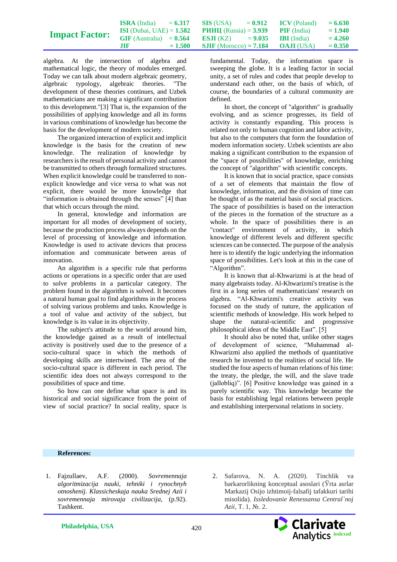|                       | <b>ISRA</b> (India)               | $= 6.317$ | $\textbf{SIS}$ (USA) = 0.912                    | <b>ICV</b> (Poland) | $= 6.630$ |
|-----------------------|-----------------------------------|-----------|-------------------------------------------------|---------------------|-----------|
| <b>Impact Factor:</b> | <b>ISI</b> (Dubai, UAE) = $1.582$ |           | <b>PHHII</b> (Russia) = $3.939$                 | <b>PIF</b> (India)  | $= 1.940$ |
|                       | $GIF$ (Australia) = $0.564$       |           | <b>ESJI</b> (KZ) $= 9.035$ <b>IBI</b> (India)   |                     | $= 4.260$ |
|                       | .TIF                              | $= 1.500$ | <b>SJIF</b> (Morocco) = <b>7.184 OAJI</b> (USA) |                     | $= 0.350$ |

algebra. At the intersection of algebra and mathematical logic, the theory of modules emerged. Today we can talk about modern algebraic geometry, algebraic typology, algebraic theories. "The development of these theories continues, and Uzbek mathematicians are making a significant contribution to this development."[3] That is, the expansion of the possibilities of applying knowledge and all its forms in various combinations of knowledge has become the basis for the development of modern society.

The organized interaction of explicit and implicit knowledge is the basis for the creation of new knowledge. The realization of knowledge by researchers is the result of personal activity and cannot be transmitted to others through formalized structures. When explicit knowledge could be transferred to nonexplicit knowledge and vice versa to what was not explicit, there would be more knowledge that "information is obtained through the senses" [4] than that which occurs through the mind.

In general, knowledge and information are important for all modes of development of society, because the production process always depends on the level of processing of knowledge and information. Knowledge is used to activate devices that process information and communicate between areas of innovation.

An algorithm is a specific rule that performs actions or operations in a specific order that are used to solve problems in a particular category. The problem found in the algorithm is solved. It becomes a natural human goal to find algorithms in the process of solving various problems and tasks. Knowledge is a tool of value and activity of the subject, but knowledge is its value in its objectivity.

The subject's attitude to the world around him, the knowledge gained as a result of intellectual activity is positively used due to the presence of a socio-cultural space in which the methods of developing skills are intertwined. The area of the socio-cultural space is different in each period. The scientific idea does not always correspond to the possibilities of space and time.

So how can one define what space is and its historical and social significance from the point of view of social practice? In social reality, space is

fundamental. Today, the information space is sweeping the globe. It is a leading factor in social unity, a set of rules and codes that people develop to understand each other, on the basis of which, of course, the boundaries of a cultural community are defined.

In short, the concept of "algorithm" is gradually evolving, and as science progresses, its field of activity is constantly expanding. This process is related not only to human cognition and labor activity, but also to the computers that form the foundation of modern information society. Uzbek scientists are also making a significant contribution to the expansion of the "space of possibilities" of knowledge, enriching the concept of "algorithm" with scientific concepts.

It is known that in social practice, space consists of a set of elements that maintain the flow of knowledge, information, and the division of time can be thought of as the material basis of social practices. The space of possibilities is based on the interaction of the pieces in the formation of the structure as a whole. In the space of possibilities there is an "contact" environment of activity, in which knowledge of different levels and different specific sciences can be connected. The purpose of the analysis here is to identify the logic underlying the information space of possibilities. Let's look at this in the case of "Algorithm".

It is known that al-Khwarizmi is at the head of many algebraists today. Al-Khwarizmi's treatise is the first in a long series of mathematicians' research on algebra. "Al-Khwarizmi's creative activity was focused on the study of nature, the application of scientific methods of knowledge. His work helped to shape the natural-scientific and progressive philosophical ideas of the Middle East". [5]

It should also be noted that, unlike other stages of development of science, "Muhammad al-Khwarizmi also applied the methods of quantitative research he invented to the realities of social life. He studied the four aspects of human relations of his time: the treaty, the pledge, the will, and the slave trade (jallobliq)". [6] Positive knowledge was gained in a purely scientific way. This knowledge became the basis for establishing legal relations between people and establishing interpersonal relations in society.

## **References:**

- 1. Fajzullaev, A.F. (2000). *Sovremennaja algoritmizacija nauki, tehniki i rynochnyh otnoshenij. Klassicheskaja nauka Srednej Azii i sovremennaja mirovaja civilizacija,* (p.92). Tashkent.
- 2. Safarova, N. A. (2020). Tinchlik va barkarorlikning konceptual asoslari (Ўrta asrlar Markazij Osijo izhtimoij-falsafij tafakkuri tarihi misolida). *Issledovanie Renessansa Central`noj Azii*, Т. 1, №. 2.